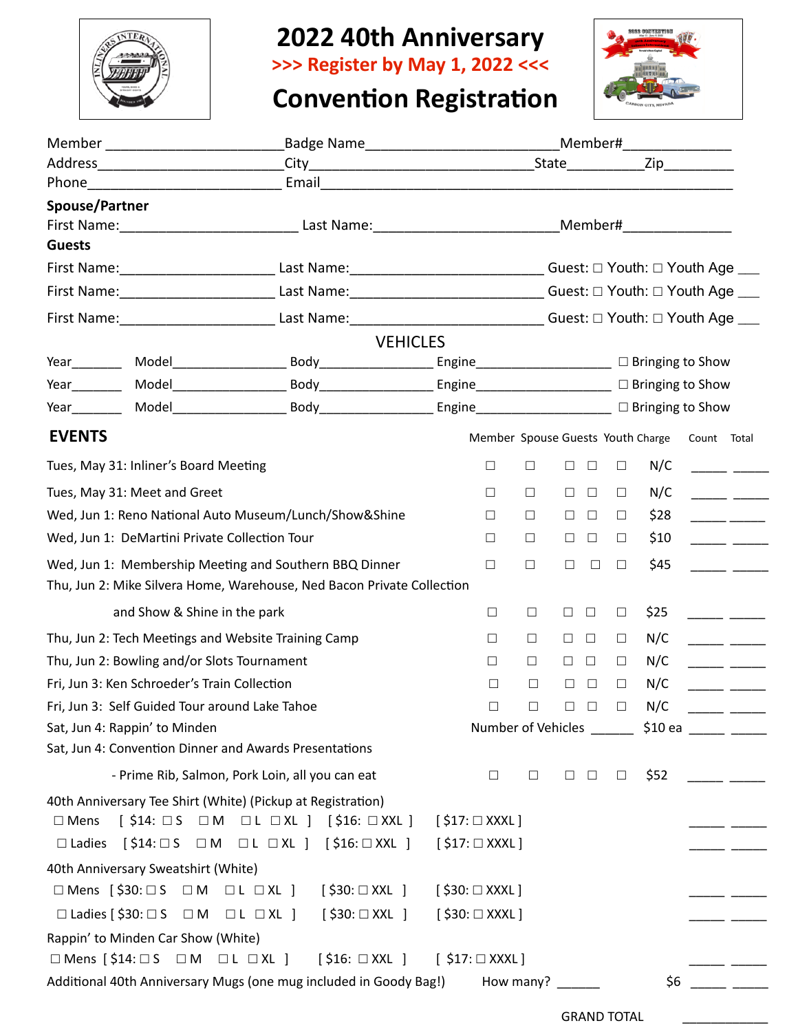

## **2022 40th Anniversary**

**>>> Register by May 1, 2022 <<<**

# **Convention Registration**



| Member ______________________                                                                                       |                             |                                                                                                                                                                                                                                           | Member#          |                                   |        |                          |                                                                                                                                                                                                                                                                                                                                                                                                                                                |           |
|---------------------------------------------------------------------------------------------------------------------|-----------------------------|-------------------------------------------------------------------------------------------------------------------------------------------------------------------------------------------------------------------------------------------|------------------|-----------------------------------|--------|--------------------------|------------------------------------------------------------------------------------------------------------------------------------------------------------------------------------------------------------------------------------------------------------------------------------------------------------------------------------------------------------------------------------------------------------------------------------------------|-----------|
|                                                                                                                     |                             |                                                                                                                                                                                                                                           |                  | State                             |        |                          |                                                                                                                                                                                                                                                                                                                                                                                                                                                |           |
| Phone                                                                                                               |                             |                                                                                                                                                                                                                                           |                  |                                   |        |                          |                                                                                                                                                                                                                                                                                                                                                                                                                                                |           |
| Spouse/Partner                                                                                                      |                             |                                                                                                                                                                                                                                           |                  |                                   |        |                          |                                                                                                                                                                                                                                                                                                                                                                                                                                                |           |
|                                                                                                                     |                             |                                                                                                                                                                                                                                           |                  | Member#                           |        |                          |                                                                                                                                                                                                                                                                                                                                                                                                                                                |           |
| <b>Guests</b>                                                                                                       |                             |                                                                                                                                                                                                                                           |                  |                                   |        |                          |                                                                                                                                                                                                                                                                                                                                                                                                                                                |           |
|                                                                                                                     |                             | First Name: _____________________________Last Name: ________________________________Guest: □ Youth: □ Youth Age ____<br>First Name: ____________________________Last Name: ______________________________Guest: □ Youth: □ Youth Age ____ |                  |                                   |        |                          |                                                                                                                                                                                                                                                                                                                                                                                                                                                |           |
|                                                                                                                     |                             |                                                                                                                                                                                                                                           |                  |                                   |        |                          |                                                                                                                                                                                                                                                                                                                                                                                                                                                |           |
| First Name: _____________________________Last Name: _______________________________Guest: □ Youth: □ Youth Age ____ |                             |                                                                                                                                                                                                                                           |                  |                                   |        |                          |                                                                                                                                                                                                                                                                                                                                                                                                                                                |           |
|                                                                                                                     | <b>VEHICLES</b>             |                                                                                                                                                                                                                                           |                  |                                   |        |                          |                                                                                                                                                                                                                                                                                                                                                                                                                                                |           |
|                                                                                                                     |                             |                                                                                                                                                                                                                                           |                  |                                   |        |                          |                                                                                                                                                                                                                                                                                                                                                                                                                                                |           |
|                                                                                                                     |                             |                                                                                                                                                                                                                                           |                  |                                   |        |                          |                                                                                                                                                                                                                                                                                                                                                                                                                                                |           |
|                                                                                                                     |                             |                                                                                                                                                                                                                                           |                  |                                   |        |                          |                                                                                                                                                                                                                                                                                                                                                                                                                                                |           |
| <b>EVENTS</b>                                                                                                       |                             |                                                                                                                                                                                                                                           |                  | Member Spouse Guests Youth Charge |        |                          | Count Total                                                                                                                                                                                                                                                                                                                                                                                                                                    |           |
| Tues, May 31: Inliner's Board Meeting                                                                               |                             | $\Box$                                                                                                                                                                                                                                    | $\Box$           | $\Box$<br>$\Box$                  | $\Box$ | N/C                      |                                                                                                                                                                                                                                                                                                                                                                                                                                                |           |
| Tues, May 31: Meet and Greet                                                                                        | $\Box$                      | $\Box$                                                                                                                                                                                                                                    | $\Box$<br>$\Box$ | $\Box$                            | N/C    |                          |                                                                                                                                                                                                                                                                                                                                                                                                                                                |           |
| Wed, Jun 1: Reno National Auto Museum/Lunch/Show&Shine                                                              |                             | $\Box$                                                                                                                                                                                                                                    | $\Box$           | $\Box$<br>$\Box$                  | $\Box$ | \$28                     |                                                                                                                                                                                                                                                                                                                                                                                                                                                | المستدعات |
| Wed, Jun 1: DeMartini Private Collection Tour                                                                       | $\Box$                      | $\Box$                                                                                                                                                                                                                                    | $\Box$<br>$\Box$ | $\Box$                            | \$10   |                          | $\mathcal{L} = \mathcal{L}$                                                                                                                                                                                                                                                                                                                                                                                                                    |           |
| Wed, Jun 1: Membership Meeting and Southern BBQ Dinner                                                              | $\Box$                      | $\Box$                                                                                                                                                                                                                                    | $\Box$<br>$\Box$ | $\Box$                            | \$45   |                          | <b>Contract Contract</b>                                                                                                                                                                                                                                                                                                                                                                                                                       |           |
| Thu, Jun 2: Mike Silvera Home, Warehouse, Ned Bacon Private Collection                                              |                             |                                                                                                                                                                                                                                           |                  |                                   |        |                          |                                                                                                                                                                                                                                                                                                                                                                                                                                                |           |
| and Show & Shine in the park                                                                                        |                             | $\Box$                                                                                                                                                                                                                                    | $\Box$           | $\Box$                            | $\Box$ | \$25                     |                                                                                                                                                                                                                                                                                                                                                                                                                                                |           |
| Thu, Jun 2: Tech Meetings and Website Training Camp                                                                 | $\Box$                      | □                                                                                                                                                                                                                                         | $\Box$<br>$\Box$ | □                                 | N/C    | $\overline{\phantom{a}}$ |                                                                                                                                                                                                                                                                                                                                                                                                                                                |           |
| Thu, Jun 2: Bowling and/or Slots Tournament                                                                         | $\Box$                      | $\Box$                                                                                                                                                                                                                                    | $\Box$           | $\Box$                            | N/C    |                          | $\frac{1}{2} \left( \frac{1}{2} \right) = \frac{1}{2} \left( \frac{1}{2} \right) = \frac{1}{2} \left( \frac{1}{2} \right) = \frac{1}{2} \left( \frac{1}{2} \right) = \frac{1}{2} \left( \frac{1}{2} \right) = \frac{1}{2} \left( \frac{1}{2} \right) = \frac{1}{2} \left( \frac{1}{2} \right) = \frac{1}{2} \left( \frac{1}{2} \right) = \frac{1}{2} \left( \frac{1}{2} \right) = \frac{1}{2} \left( \frac{1}{2} \right) = \frac{1}{2} \left($ |           |
| Fri, Jun 3: Ken Schroeder's Train Collection                                                                        | □                           | $\Box$                                                                                                                                                                                                                                    | $\Box$<br>$\Box$ | □                                 | N/C    |                          | المستدامات                                                                                                                                                                                                                                                                                                                                                                                                                                     |           |
| Fri, Jun 3: Self Guided Tour around Lake Tahoe                                                                      | $\Box$                      | $\Box$                                                                                                                                                                                                                                    | $\Box$<br>$\Box$ | $\Box$                            | N/C    |                          | سنست بناء                                                                                                                                                                                                                                                                                                                                                                                                                                      |           |
| Sat, Jun 4: Rappin' to Minden                                                                                       |                             | Number of Vehicles _____                                                                                                                                                                                                                  |                  |                                   |        |                          | \$10 ea ______ _____                                                                                                                                                                                                                                                                                                                                                                                                                           |           |
| Sat, Jun 4: Convention Dinner and Awards Presentations                                                              |                             |                                                                                                                                                                                                                                           |                  |                                   |        |                          |                                                                                                                                                                                                                                                                                                                                                                                                                                                |           |
| - Prime Rib, Salmon, Pork Loin, all you can eat                                                                     |                             | $\Box$                                                                                                                                                                                                                                    | $\Box$           | $\Box$<br>$\Box$                  | □      | \$52                     |                                                                                                                                                                                                                                                                                                                                                                                                                                                |           |
| 40th Anniversary Tee Shirt (White) (Pickup at Registration)                                                         |                             |                                                                                                                                                                                                                                           |                  |                                   |        |                          |                                                                                                                                                                                                                                                                                                                                                                                                                                                |           |
| $[ $14: \square S \square M \square L \square XL ]$ $[ $16: \square XXL ]$<br>$\square$ Mens                        |                             | $[$ \$17: $\Box$ XXXL ]                                                                                                                                                                                                                   |                  |                                   |        |                          |                                                                                                                                                                                                                                                                                                                                                                                                                                                |           |
| □ Ladies [ $$14:$ □ S $\Box$ M $\Box$ L $\Box$ XL ] [ $$16:$ $\Box$ XXL ]                                           |                             | $[$ \$17: $\Box$ XXXL ]                                                                                                                                                                                                                   |                  |                                   |        |                          |                                                                                                                                                                                                                                                                                                                                                                                                                                                |           |
| 40th Anniversary Sweatshirt (White)                                                                                 |                             |                                                                                                                                                                                                                                           |                  |                                   |        |                          |                                                                                                                                                                                                                                                                                                                                                                                                                                                |           |
| □ Mens [\$30:□S □ M □L □ XL ]                                                                                       | $[$ \$30: $\square$ XXL $]$ | [ $$30: \square$ XXXL]                                                                                                                                                                                                                    |                  |                                   |        |                          |                                                                                                                                                                                                                                                                                                                                                                                                                                                |           |
| □ Ladies [ \$30: □ S  □ M  □ L □ XL ]                                                                               | [ \$30: □ XXL ]             | $[$ \$30: $\Box$ XXXL ]                                                                                                                                                                                                                   |                  |                                   |        |                          |                                                                                                                                                                                                                                                                                                                                                                                                                                                |           |
| Rappin' to Minden Car Show (White)                                                                                  |                             |                                                                                                                                                                                                                                           |                  |                                   |        |                          |                                                                                                                                                                                                                                                                                                                                                                                                                                                |           |
| $\Box$ Mens [\$14: $\Box$ S $\Box$ M $\Box$ L $\Box$ XL ]                                                           | [ \$16: □ XXL ]             | [ \$17: □ XXXL ]                                                                                                                                                                                                                          |                  |                                   |        |                          |                                                                                                                                                                                                                                                                                                                                                                                                                                                |           |
| Additional 40th Anniversary Mugs (one mug included in Goody Bag!)                                                   |                             |                                                                                                                                                                                                                                           |                  | How many?                         |        | \$6                      |                                                                                                                                                                                                                                                                                                                                                                                                                                                |           |

GRAND TOTAL